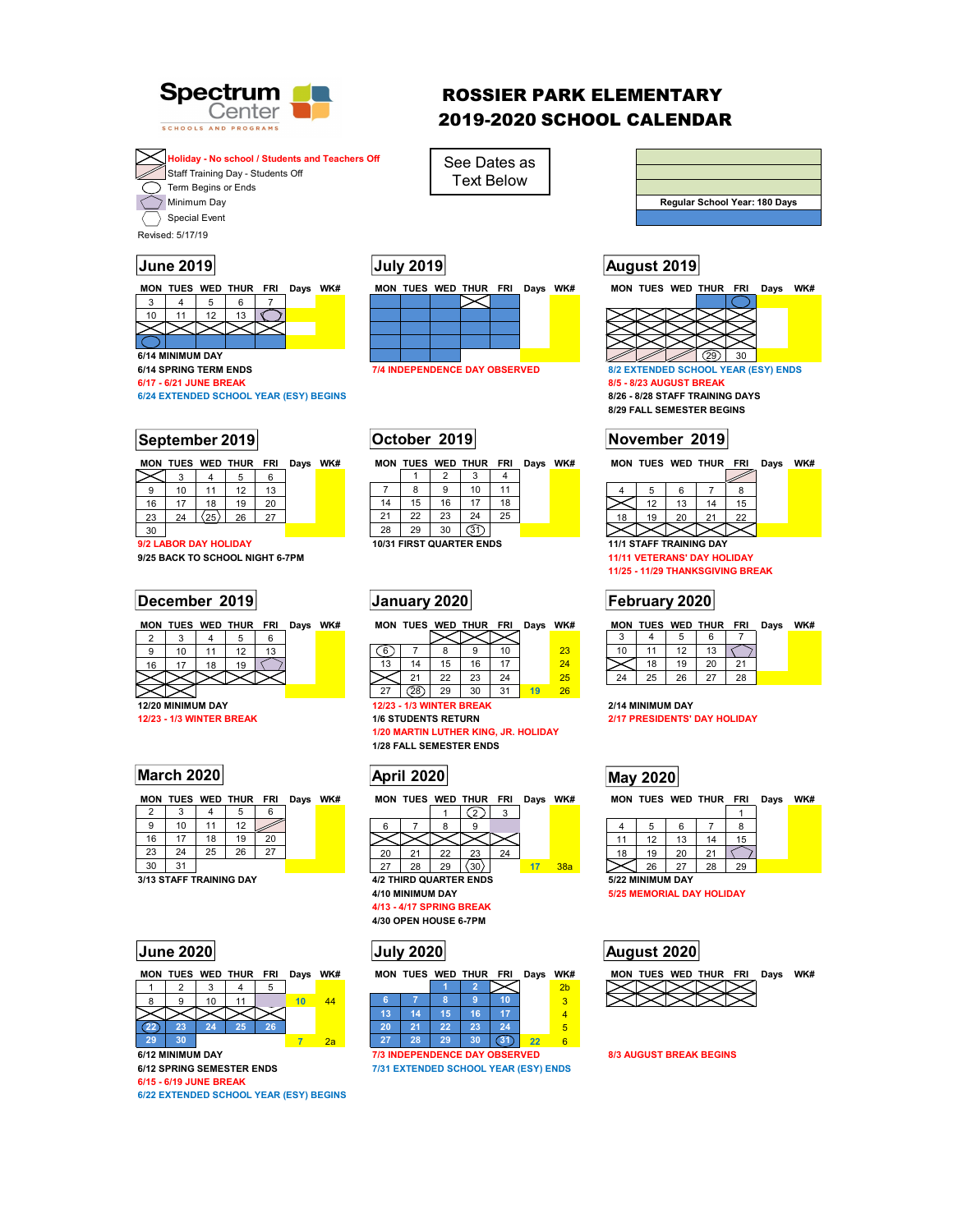

# ROSSIER PARK ELEMENTARY 2019-2020 SCHOOL CALENDAR



See Dates as Text Below



Revised: 5/17/19

Special Event



| <b>MON</b> | <b>TUES</b> | WED | <b>THUR</b> | <b>FRI</b> | Davs | WK# | MON | <b>TUES</b> | WED | THUR | <b>FRI</b> | Davs | WK# | MON | <b>TUES</b> | <b>WED</b> | THUR | <b>FRI</b> | Davs | WK# |
|------------|-------------|-----|-------------|------------|------|-----|-----|-------------|-----|------|------------|------|-----|-----|-------------|------------|------|------------|------|-----|
| ~<br>ᄼ     |             |     |             |            |      |     |     |             |     |      |            |      |     |     |             |            |      |            |      |     |

| a  | 10 | 11                   | 12 | 13  |
|----|----|----------------------|----|-----|
| 16 | 17 | 18                   | 19 | 20  |
| 23 | 24 | $\langle 25 \rangle$ | 26 | -27 |

30 **20** 12a **9/2 LABOR DAY HOLIDAY** 

**9/25 BACK TO SCHOOL NIGHT 6-7PM 11/11 VETERANS' DAY HOLIDAY** 

## **December 2019 January 2020 February 2020**

|    |    |    | MON TUES WED THUR FRI |    | Days WK# |  | MO |
|----|----|----|-----------------------|----|----------|--|----|
|    |    |    |                       |    |          |  |    |
| 9  | 10 | 11 | 12                    | 13 |          |  |    |
| 16 |    | 18 | 19                    |    |          |  | 13 |
|    |    |    |                       |    |          |  |    |
|    |    |    |                       |    |          |  |    |

**12/20 MINIMUM DAY 12/23 - 1/3 WINTER BREAK 2/14 MINIMUM DAY** 

|  | MON TUES WED THUR FRI Days WK# |  |  |
|--|--------------------------------|--|--|
|  |                                |  |  |

| a  | 10 |    | 12 |    |  |
|----|----|----|----|----|--|
| 16 | 17 | 18 | 19 | 20 |  |
| 23 | 24 | 25 | 26 |    |  |
|    |    |    |    |    |  |

**3/13 STAFF TRAINING DAY** 



**22 23 24 25 26** 1 **29 30 7** 2a

**6/15 - 6/19 JUNE BREAK** 

**6/22 EXTENDED SCHOOL YEAR (ESY) BEGINS** 



|    | 8  | 9  | 10                               | 11 |  |
|----|----|----|----------------------------------|----|--|
| 14 | 15 | 16 | 17                               | 18 |  |
| 21 | 22 | 23 | 24                               | 25 |  |
| 28 | 29 | 30 |                                  |    |  |
|    |    |    | <b>10/31 FIRST OLIARTER ENDS</b> |    |  |

|  | MON TUES WED THUR FRI | Davs | WK# |  |        |        |       | MON TUES WED THUR FRI Days | WK#    |    |    |    | MON TUES WED THUR FRI |    | Davs | WK# |
|--|-----------------------|------|-----|--|--------|--------|-------|----------------------------|--------|----|----|----|-----------------------|----|------|-----|
|  |                       |      |     |  |        |        |       |                            |        |    |    |    |                       |    |      |     |
|  |                       |      |     |  |        |        | 10    |                            | $\sim$ |    |    |    |                       |    |      |     |
|  |                       |      |     |  |        |        | $4 -$ |                            | 24     |    | 18 | 19 | ാറ                    | 24 |      |     |
|  |                       |      |     |  | $\sim$ | $\sim$ | 24    |                            |        | 24 | 25 | 26 |                       | 28 |      |     |

27 28 29 30 31 **19** 26

**1/20 MARTIN LUTHER KING, JR. HOLIDAY 1/28 FALL SEMESTER ENDS** 





|    |                  |    |                               | 3  |    |     |  |
|----|------------------|----|-------------------------------|----|----|-----|--|
|    |                  |    |                               |    |    |     |  |
|    |                  |    |                               |    |    |     |  |
| 20 | 21               | 22 | 23                            | 24 |    |     |  |
| 27 | 28               | 29 |                               |    | 17 | 38a |  |
|    |                  |    | <b>4/2 THIRD QUARTER ENDS</b> |    |    |     |  |
|    | 4/10 MINIMUM DAY |    |                               |    |    |     |  |

**4/13 - 4/17 SPRING BREAK 4/30 OPEN HOUSE 6-7PM** 

**MON TUES WED THUR FRI Days WK# MON TUES WED THUR FRI Days WK#** 

| Б  |                  | 8  | ×  |              |    | з |
|----|------------------|----|----|--------------|----|---|
| 13 | حادي.            | 15 | 16 |              |    |   |
| 20 | 21               | 22 | 23 | 24           |    | 5 |
| יע | 28               | 29 | 30 |              | 22 |   |
|    | 712 INDEDENDENMI |    |    | DAV ORGEBUED |    |   |

**6/12 MINIMUM DAY 1/3 INDEPENDENCE DAY OBSERVED** 8/3 AUGUST BREAK BEGINS **6/12 SPRING SEMESTER ENDS 7/31 EXTENDED SCHOOL YEAR (ESY) ENDS** 

# **June 2019 July 2019 August 2019**



**6/24 EXTENDED SCHOOL YEAR (ESY) BEGINS 8/26 - 8/28 STAFF TRAINING DAYS 8/29 FALL SEMESTER BEGINS** 

## **September 2019 October 2019 November 2019**

|                                | 12 | 13 | 14 | 15 |
|--------------------------------|----|----|----|----|
| 18                             | 19 | 20 | 21 | 22 |
|                                |    |    |    |    |
| <b>11/1 STAFF TRAINING DAY</b> |    |    |    |    |

**11/25 - 11/29 THANKSGIVING BREAK** 

| <b>MON</b> |    |    | TUES WED THUR | <b>FRI</b> | Days | WK# |  |
|------------|----|----|---------------|------------|------|-----|--|
| 3          |    | 5  | 6             |            |      |     |  |
| 10         | 11 | 12 | 13            |            |      |     |  |
|            | 18 | 19 | 20            | 21         |      |     |  |
| 24         | 25 | 26 | 27            | 28         |      |     |  |

**2/17 PRESIDENTS' DAY HOLIDAY** 

MON TUES WED THUR FRI Days WK# MON TUES WED THUR FRI Days WK#

| 11 | 12               | 13 | 14 | 15 |  |  |
|----|------------------|----|----|----|--|--|
| 18 | 19               | 20 | 21 |    |  |  |
|    | 26               | 27 | 28 | 29 |  |  |
|    | 5/22 MINIMUM DAY |    |    |    |  |  |

**5/25 MEMORIAL DAY HOLIDAY** 

## **June 2020 July 2020 August 2020**